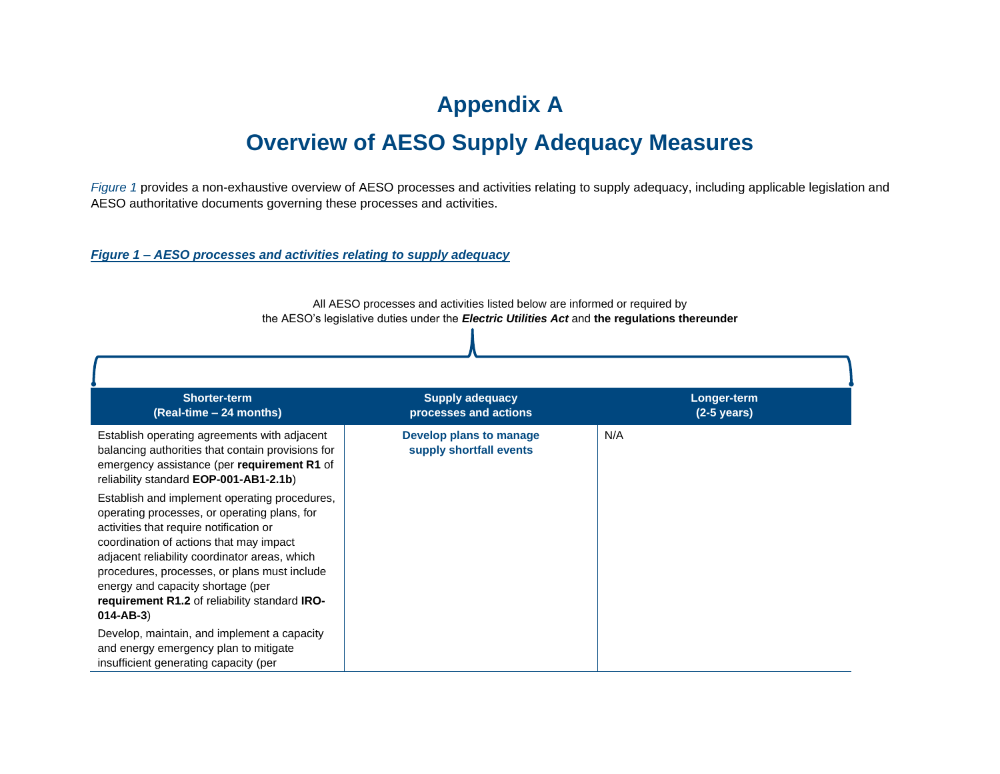## **Appendix A Overview of AESO Supply Adequacy Measures**

*Figure 1* provides a non-exhaustive overview of AESO processes and activities relating to supply adequacy, including applicable legislation and AESO authoritative documents governing these processes and activities.

## *Figure 1 – AESO processes and activities relating to supply adequacy*

**Shorter-term (Real-time – 24 months) Supply adequacy processes and actions Longer-term (2-5 years)** Establish operating agreements with adjacent balancing authorities that contain provisions for emergency assistance (per **requirement R1** of reliability standard **EOP-001-AB1-2.1b**) Establish and implement operating procedures, operating processes, or operating plans, for activities that require notification or coordination of actions that may impact adjacent reliability coordinator areas, which procedures, processes, or plans must include energy and capacity shortage (per **requirement R1.2** of reliability standard **IRO-014-AB-3**) Develop, maintain, and implement a capacity and energy emergency plan to mitigate insufficient generating capacity (per **Develop plans to manage supply shortfall events** N/A

All AESO processes and activities listed below are informed or required by the AESO's legislative duties under the *Electric Utilities Act* and **the regulations thereunder**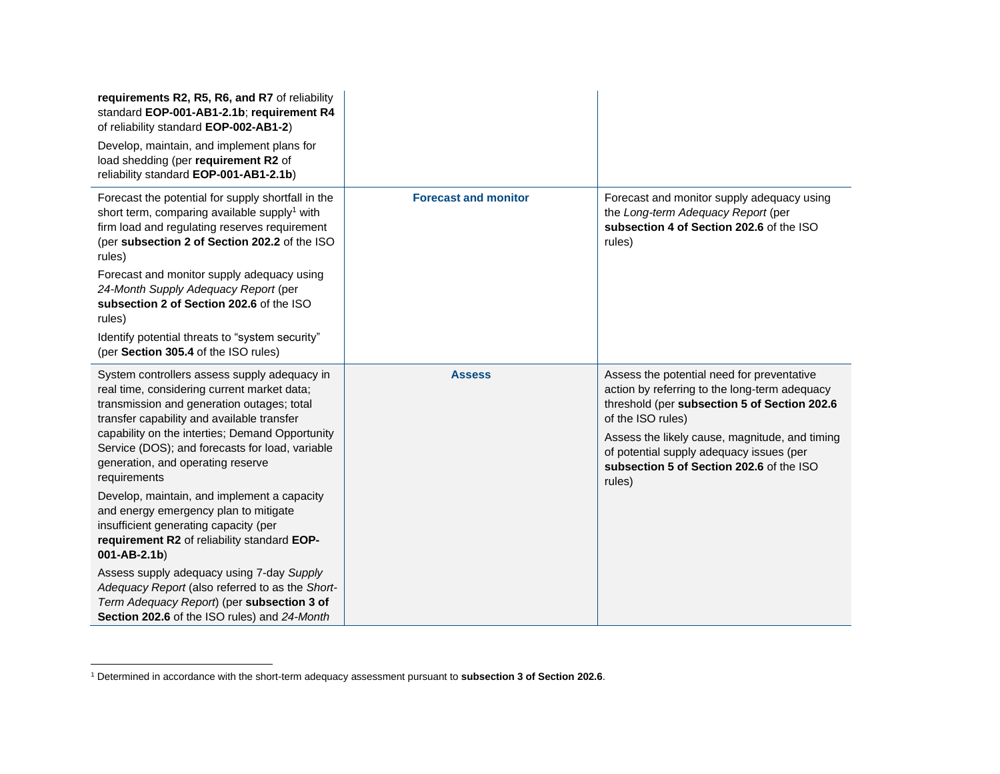| requirements R2, R5, R6, and R7 of reliability<br>standard EOP-001-AB1-2.1b; requirement R4<br>of reliability standard EOP-002-AB1-2)<br>Develop, maintain, and implement plans for<br>load shedding (per requirement R2 of<br>reliability standard EOP-001-AB1-2.1b)                                                                                                                                                                                                                                                                                                                                                                                                                                                                                  |                             |                                                                                                                                                                                                                                                                                                                      |
|--------------------------------------------------------------------------------------------------------------------------------------------------------------------------------------------------------------------------------------------------------------------------------------------------------------------------------------------------------------------------------------------------------------------------------------------------------------------------------------------------------------------------------------------------------------------------------------------------------------------------------------------------------------------------------------------------------------------------------------------------------|-----------------------------|----------------------------------------------------------------------------------------------------------------------------------------------------------------------------------------------------------------------------------------------------------------------------------------------------------------------|
| Forecast the potential for supply shortfall in the<br>short term, comparing available supply <sup>1</sup> with<br>firm load and regulating reserves requirement<br>(per subsection 2 of Section 202.2 of the ISO<br>rules)<br>Forecast and monitor supply adequacy using<br>24-Month Supply Adequacy Report (per<br>subsection 2 of Section 202.6 of the ISO<br>rules)<br>Identify potential threats to "system security"<br>(per Section 305.4 of the ISO rules)                                                                                                                                                                                                                                                                                      | <b>Forecast and monitor</b> | Forecast and monitor supply adequacy using<br>the Long-term Adequacy Report (per<br>subsection 4 of Section 202.6 of the ISO<br>rules)                                                                                                                                                                               |
| System controllers assess supply adequacy in<br>real time, considering current market data;<br>transmission and generation outages; total<br>transfer capability and available transfer<br>capability on the interties; Demand Opportunity<br>Service (DOS); and forecasts for load, variable<br>generation, and operating reserve<br>requirements<br>Develop, maintain, and implement a capacity<br>and energy emergency plan to mitigate<br>insufficient generating capacity (per<br>requirement R2 of reliability standard EOP-<br>$001 - AB - 2.1b)$<br>Assess supply adequacy using 7-day Supply<br>Adequacy Report (also referred to as the Short-<br>Term Adequacy Report) (per subsection 3 of<br>Section 202.6 of the ISO rules) and 24-Month | <b>Assess</b>               | Assess the potential need for preventative<br>action by referring to the long-term adequacy<br>threshold (per subsection 5 of Section 202.6<br>of the ISO rules)<br>Assess the likely cause, magnitude, and timing<br>of potential supply adequacy issues (per<br>subsection 5 of Section 202.6 of the ISO<br>rules) |

<sup>1</sup> Determined in accordance with the short-term adequacy assessment pursuant to **subsection 3 of Section 202.6**.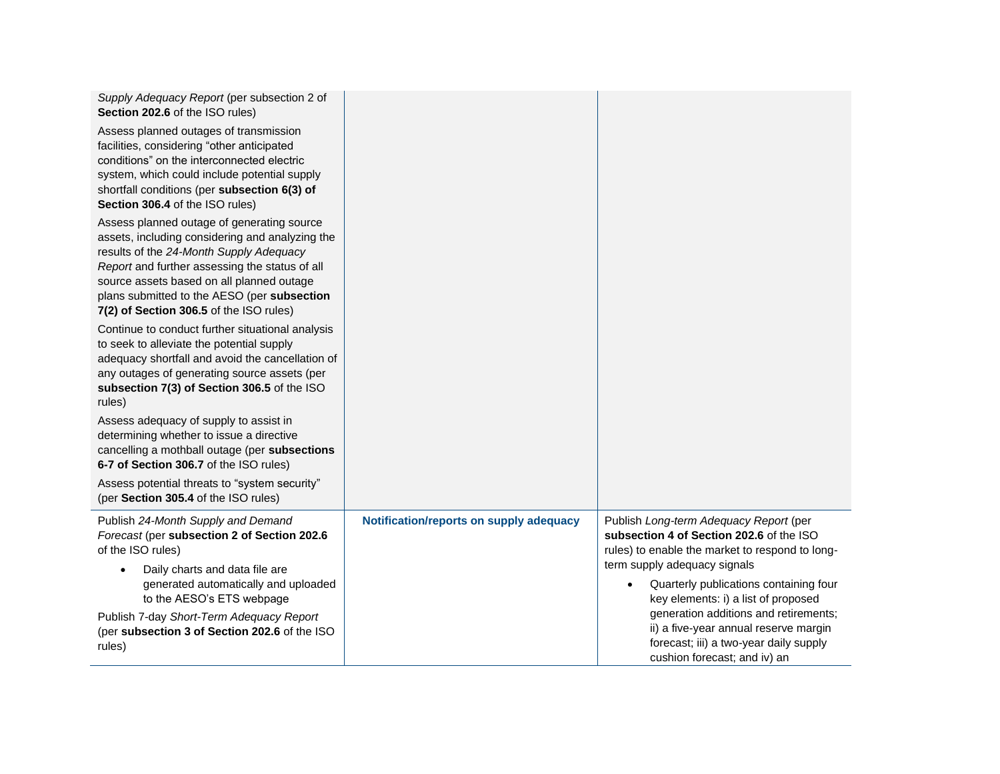| Supply Adequacy Report (per subsection 2 of<br>Section 202.6 of the ISO rules)                                                                                                                                                                                                                                                    |                                         |                                                                                                                                                          |
|-----------------------------------------------------------------------------------------------------------------------------------------------------------------------------------------------------------------------------------------------------------------------------------------------------------------------------------|-----------------------------------------|----------------------------------------------------------------------------------------------------------------------------------------------------------|
| Assess planned outages of transmission<br>facilities, considering "other anticipated<br>conditions" on the interconnected electric<br>system, which could include potential supply<br>shortfall conditions (per subsection 6(3) of<br>Section 306.4 of the ISO rules)                                                             |                                         |                                                                                                                                                          |
| Assess planned outage of generating source<br>assets, including considering and analyzing the<br>results of the 24-Month Supply Adequacy<br>Report and further assessing the status of all<br>source assets based on all planned outage<br>plans submitted to the AESO (per subsection<br>7(2) of Section 306.5 of the ISO rules) |                                         |                                                                                                                                                          |
| Continue to conduct further situational analysis<br>to seek to alleviate the potential supply<br>adequacy shortfall and avoid the cancellation of<br>any outages of generating source assets (per<br>subsection 7(3) of Section 306.5 of the ISO<br>rules)                                                                        |                                         |                                                                                                                                                          |
| Assess adequacy of supply to assist in<br>determining whether to issue a directive<br>cancelling a mothball outage (per subsections<br>6-7 of Section 306.7 of the ISO rules)                                                                                                                                                     |                                         |                                                                                                                                                          |
| Assess potential threats to "system security"<br>(per Section 305.4 of the ISO rules)                                                                                                                                                                                                                                             |                                         |                                                                                                                                                          |
| Publish 24-Month Supply and Demand<br>Forecast (per subsection 2 of Section 202.6<br>of the ISO rules)                                                                                                                                                                                                                            | Notification/reports on supply adequacy | Publish Long-term Adequacy Report (per<br>subsection 4 of Section 202.6 of the ISO<br>rules) to enable the market to respond to long-                    |
| Daily charts and data file are<br>$\bullet$<br>generated automatically and uploaded<br>to the AESO's ETS webpage                                                                                                                                                                                                                  |                                         | term supply adequacy signals<br>Quarterly publications containing four<br>$\bullet$<br>key elements: i) a list of proposed                               |
| Publish 7-day Short-Term Adequacy Report<br>(per subsection 3 of Section 202.6 of the ISO<br>rules)                                                                                                                                                                                                                               |                                         | generation additions and retirements;<br>ii) a five-year annual reserve margin<br>forecast; iii) a two-year daily supply<br>cushion forecast; and iv) an |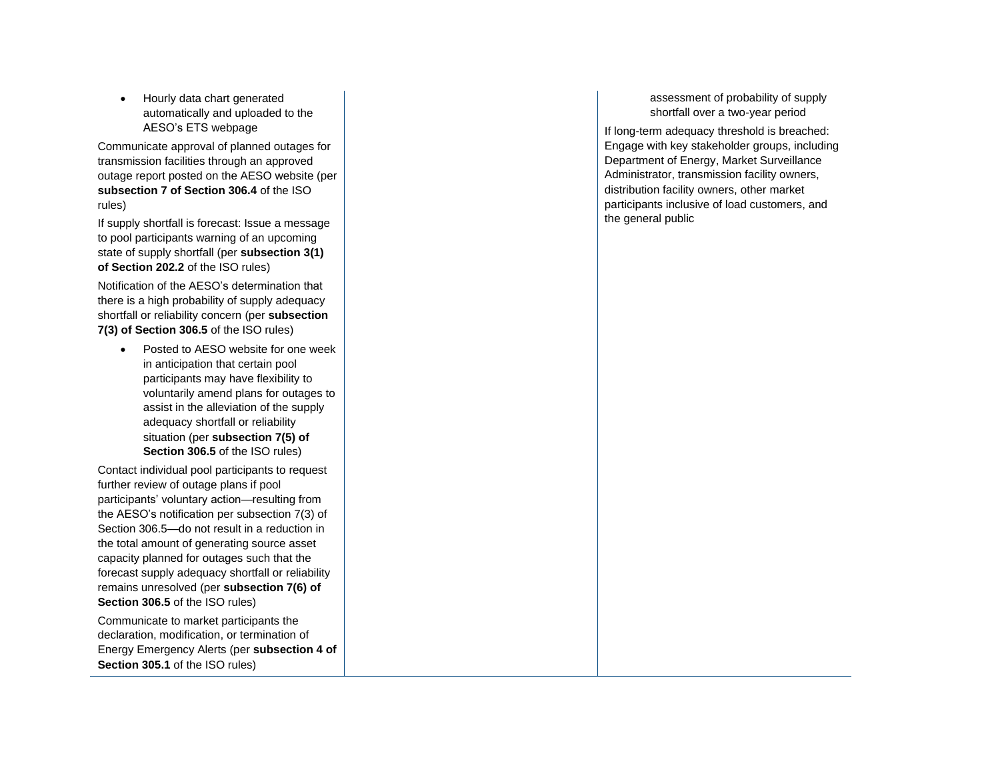• Hourly data chart generated automatically and uploaded to the AESO's ETS webpage

Communicate approval of planned outages for transmission facilities through an approved outage report posted on the AESO website (per **subsection 7 of Section 306. 4** of the ISO rules)

If supply shortfall is forecast: Issue a message to pool participants warning of an upcoming state of supply shortfall (per **subsection 3(1) of Section 202.2** of the ISO rules )

Notification of the AESO's determination that there is a high probability of supply adequacy shortfall or reliability concern (per **subsection 7(3) of Section 306.5** of the ISO rules )

• Posted to AESO website for one week in anticipation that certain pool participants may have flexibility to voluntarily amend plans for outages to assist in the alleviation of the supply adequacy shortfall or reliability situation (per **subsection 7(5) of Section 306.5** of the ISO rules )

Contact individual pool participants to request further review of outage plans if pool participants' voluntary action —resulting from the AESO's notification per subsection 7(3) of Section 306.5 —do not result in a reduction in the total amount of generating source asset capacity planned for outages such that the forecast supply adequacy shortfall or reliability remains unresolved (per **subsection 7(6) of**  Section 306.5 of the ISO rules)

Communicate to market participants the declaration, modification , or termination of Energy Emergency Alerts (per **subsection 4 of Section 305.1** of the ISO rules)

assessment of probability of supply shortfall over a two-year period

If long -term adequacy threshold is breached: Engage with key stakeholder groups, including Department of Energy, Market Surveillance Administrator, transmission facility owners, distribution facility owners, other market participants inclusive of load customers, and the general public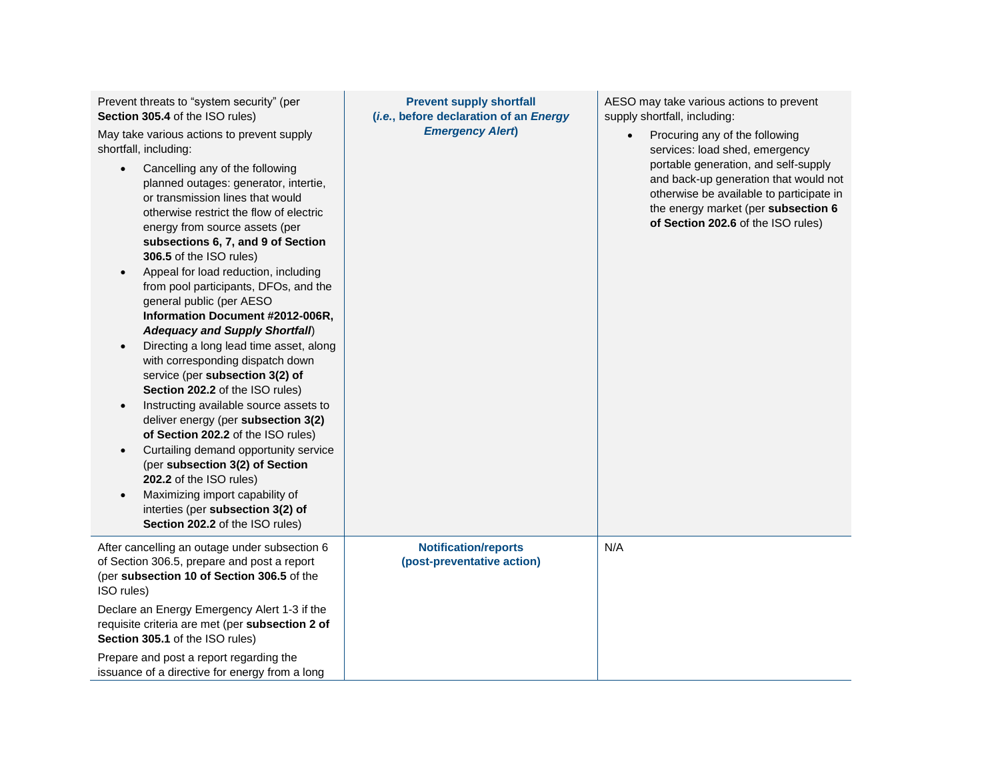Prevent threats to "system security" (per **Section 305.4** of the ISO rules)

May take various actions to prevent supply shortfall, including:

- Cancelling any of the following planned outages: generator, intertie, or transmission lines that would otherwise restrict the flow of electric energy from source assets (per **subsections 6, 7, and 9 of Section 306.5** of the ISO rules)
- Appeal for load reduction, including from pool participants, DFOs, and the general public (per AESO **Information Document #2012-006R,**  *Adequacy and Supply Shortfall*)
- Directing a long lead time asset, along with corresponding dispatch down service (per **subsection 3(2) of Section 202.2** of the ISO rules)
- Instructing available source assets to deliver energy (per **subsection 3(2) of Section 202.2** of the ISO rules)
- Curtailing demand opportunity service (per **subsection 3(2) of Section 202.2** of the ISO rules)
- Maximizing import capability of interties (per **subsection 3(2) of Section 202.2** of the ISO rules)

After cancelling an outage under subsection 6 of Section 306.5, prepare and post a report (per **subsection 10 of Section 306.5** of the ISO rules) Declare an Energy Emergency Alert 1-3 if the requisite criteria are met (per **subsection 2 of Section 305.1** of the ISO rules)

Prepare and post a report regarding the issuance of a directive for energy from a long

**Prevent supply shortfall (***i.e.***, before declaration of an** *Energy Emergency Alert***)**

> **Notification/reports (post-preventative action)**

N/A

AESO may take various actions to prevent supply shortfall, including:

> • Procuring any of the following services: load shed, emergency portable generation, and self-supply and back-up generation that would not otherwise be available to participate in the energy market (per **subsection 6 of Section 202.6** of the ISO rules)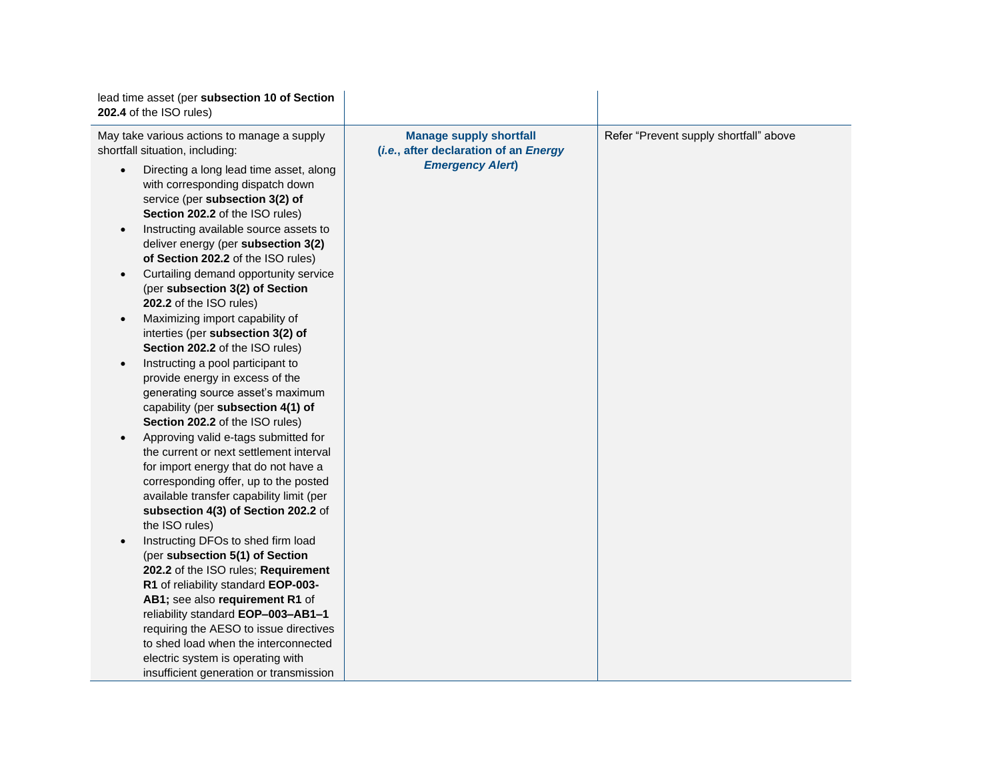| lead time asset (per subsection 10 of Section<br>202.4 of the ISO rules)                                                                                                                                                                                                                                                                                                                                                                                                                                                                                                                                                                                                                                                                                                                                                                                                                                                                                                                                                                                                                                                                                                                                                                                                                                                                                                                                                                                                                                                    |                                                                                                    |                                        |
|-----------------------------------------------------------------------------------------------------------------------------------------------------------------------------------------------------------------------------------------------------------------------------------------------------------------------------------------------------------------------------------------------------------------------------------------------------------------------------------------------------------------------------------------------------------------------------------------------------------------------------------------------------------------------------------------------------------------------------------------------------------------------------------------------------------------------------------------------------------------------------------------------------------------------------------------------------------------------------------------------------------------------------------------------------------------------------------------------------------------------------------------------------------------------------------------------------------------------------------------------------------------------------------------------------------------------------------------------------------------------------------------------------------------------------------------------------------------------------------------------------------------------------|----------------------------------------------------------------------------------------------------|----------------------------------------|
| May take various actions to manage a supply<br>shortfall situation, including:<br>Directing a long lead time asset, along<br>with corresponding dispatch down<br>service (per subsection 3(2) of<br>Section 202.2 of the ISO rules)<br>Instructing available source assets to<br>$\bullet$<br>deliver energy (per subsection 3(2)<br>of Section 202.2 of the ISO rules)<br>Curtailing demand opportunity service<br>$\bullet$<br>(per subsection 3(2) of Section<br>202.2 of the ISO rules)<br>Maximizing import capability of<br>$\bullet$<br>interties (per subsection 3(2) of<br>Section 202.2 of the ISO rules)<br>Instructing a pool participant to<br>$\bullet$<br>provide energy in excess of the<br>generating source asset's maximum<br>capability (per subsection 4(1) of<br>Section 202.2 of the ISO rules)<br>Approving valid e-tags submitted for<br>$\bullet$<br>the current or next settlement interval<br>for import energy that do not have a<br>corresponding offer, up to the posted<br>available transfer capability limit (per<br>subsection 4(3) of Section 202.2 of<br>the ISO rules)<br>Instructing DFOs to shed firm load<br>$\bullet$<br>(per subsection 5(1) of Section<br>202.2 of the ISO rules; Requirement<br>R1 of reliability standard EOP-003-<br>AB1; see also requirement R1 of<br>reliability standard EOP-003-AB1-1<br>requiring the AESO to issue directives<br>to shed load when the interconnected<br>electric system is operating with<br>insufficient generation or transmission | <b>Manage supply shortfall</b><br>(i.e., after declaration of an Energy<br><b>Emergency Alert)</b> | Refer "Prevent supply shortfall" above |